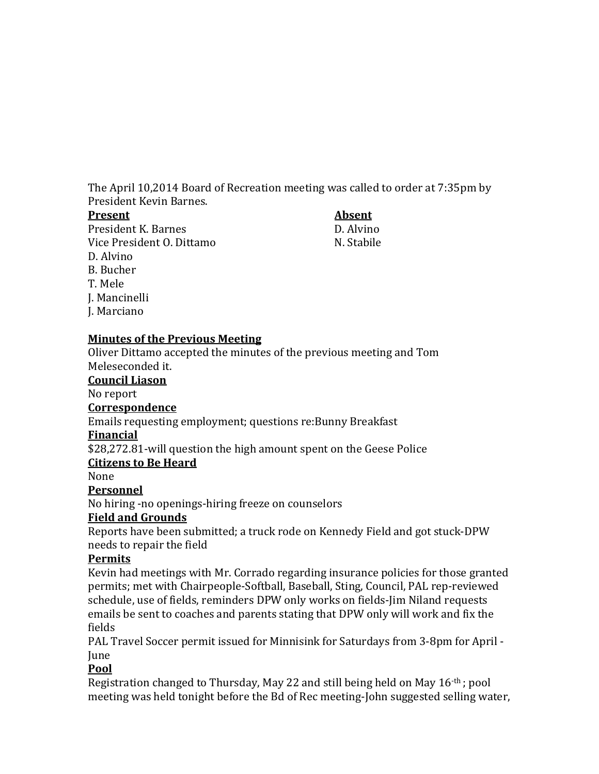The April 10,2014 Board of Recreation meeting was called to order at 7:35pm by President Kevin Barnes.

#### **Present Absent**

President K. Barnes<br>Vice President O. Dittamo<br>Vice President O. Dittamo Vice President O. Dittamo D. Alvino B. Bucher T. Mele J. Mancinelli J. Marciano

#### **Minutes of the Previous Meeting**

Oliver Dittamo accepted the minutes of the previous meeting and Tom Meleseconded it.

#### **Council Liason**

No report

## **Correspondence**

Emails requesting employment; questions re:Bunny Breakfast

## **Financial**

\$28,272.81-will question the high amount spent on the Geese Police

## **Citizens to Be Heard**

None

# **Personnel**

No hiring -no openings-hiring freeze on counselors

# **Field and Grounds**

Reports have been submitted; a truck rode on Kennedy Field and got stuck-DPW needs to repair the field

## **Permits**

Kevin had meetings with Mr. Corrado regarding insurance policies for those granted permits; met with Chairpeople-Softball, Baseball, Sting, Council, PAL rep-reviewed schedule, use of fields, reminders DPW only works on fields-Jim Niland requests emails be sent to coaches and parents stating that DPW only will work and fix the fields

PAL Travel Soccer permit issued for Minnisink for Saturdays from 3-8pm for April - June

# **Pool**

Registration changed to Thursday, May 22 and still being held on May 16-th ; pool meeting was held tonight before the Bd of Rec meeting-John suggested selling water,